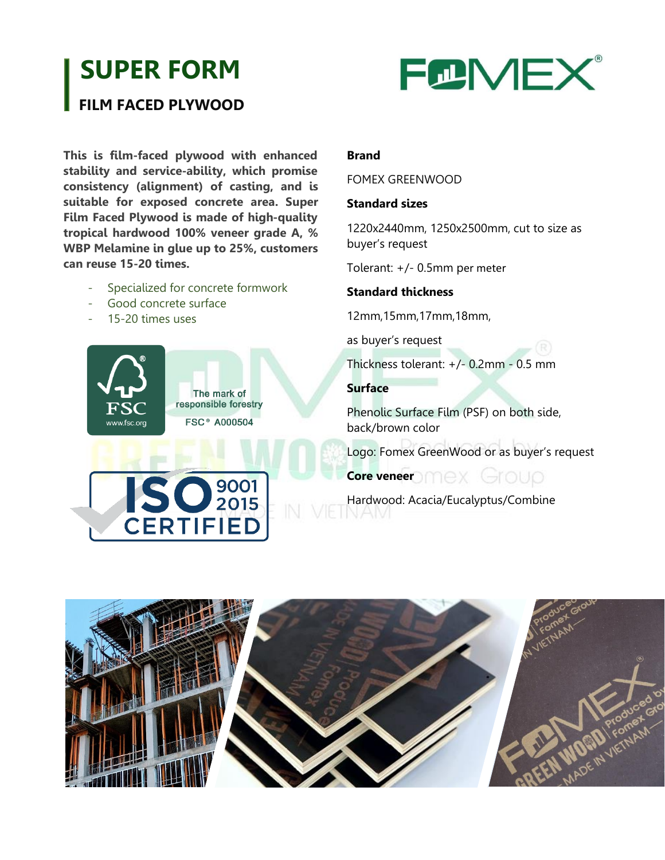# **SUPER FORM**

# **FILM FACED PLYWOOD**



**This is film-faced plywood with enhanced stability and service-ability, which promise consistency (alignment) of casting, and is suitable for exposed concrete area. Super Film Faced Plywood is made of high-quality tropical hardwood 100% veneer grade A, % WBP Melamine in glue up to 25%, customers can reuse 15-20 times.**

- Specialized for concrete formwork
- Good concrete surface
- 15-20 times uses



**ISO** 2015

**CERTIFIED** 

#### **Brand**

#### FOMEX GREENWOOD

#### **Standard sizes**

1220x2440mm, 1250x2500mm, cut to size as buyer's request

Tolerant: +/- 0.5mm per meter

#### **Standard thickness**

12mm,15mm,17mm,18mm,

as buyer's request

Thickness tolerant: +/- 0.2mm - 0.5 mm

#### **Surface**

Phenolic Surface Film (PSF) on both side, back/brown color

Logo: Fomex GreenWood or as buyer's request

# **Core veneer** DMEX Group

Hardwood: Acacia/Eucalyptus/Combine